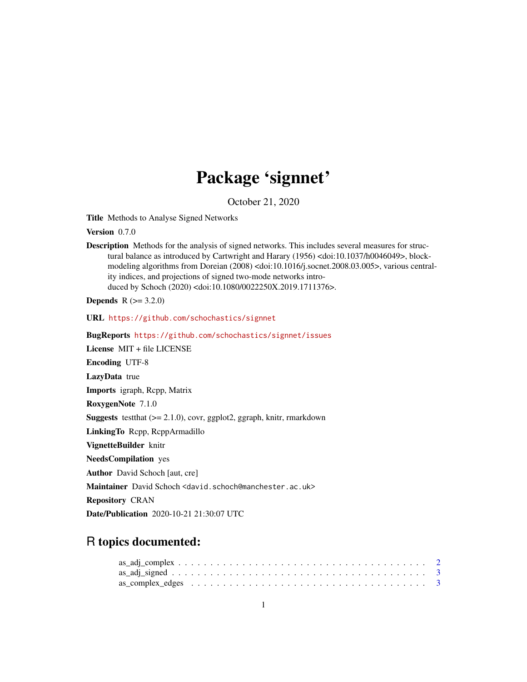# Package 'signnet'

October 21, 2020

<span id="page-0-0"></span>Title Methods to Analyse Signed Networks

Version 0.7.0

Description Methods for the analysis of signed networks. This includes several measures for structural balance as introduced by Cartwright and Harary (1956) <doi:10.1037/h0046049>, blockmodeling algorithms from Doreian (2008) <doi:10.1016/j.socnet.2008.03.005>, various centrality indices, and projections of signed two-mode networks introduced by Schoch (2020) <doi:10.1080/0022250X.2019.1711376>.

**Depends** R  $(>= 3.2.0)$ 

URL <https://github.com/schochastics/signnet>

BugReports <https://github.com/schochastics/signnet/issues>

License MIT + file LICENSE

Encoding UTF-8

LazyData true

Imports igraph, Rcpp, Matrix

RoxygenNote 7.1.0

Suggests testthat (>= 2.1.0), covr, ggplot2, ggraph, knitr, rmarkdown

LinkingTo Rcpp, RcppArmadillo

VignetteBuilder knitr

NeedsCompilation yes

Author David Schoch [aut, cre]

Maintainer David Schoch <david.schoch@manchester.ac.uk>

Repository CRAN

Date/Publication 2020-10-21 21:30:07 UTC

# R topics documented: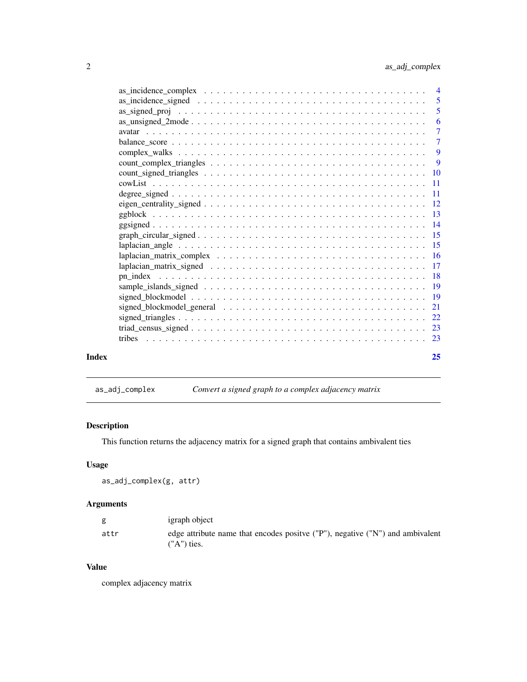<span id="page-1-0"></span>

|       |                                                                                                                    | $\overline{7}$ |
|-------|--------------------------------------------------------------------------------------------------------------------|----------------|
|       |                                                                                                                    |                |
|       |                                                                                                                    |                |
|       |                                                                                                                    |                |
|       |                                                                                                                    |                |
|       |                                                                                                                    |                |
|       |                                                                                                                    |                |
|       |                                                                                                                    |                |
|       |                                                                                                                    |                |
|       |                                                                                                                    |                |
|       |                                                                                                                    |                |
|       |                                                                                                                    |                |
|       |                                                                                                                    |                |
|       |                                                                                                                    |                |
|       |                                                                                                                    |                |
|       |                                                                                                                    |                |
|       |                                                                                                                    |                |
|       | signed_blockmodel_general $\ldots \ldots \ldots \ldots \ldots \ldots \ldots \ldots \ldots \ldots \ldots \ldots 21$ |                |
|       |                                                                                                                    |                |
|       |                                                                                                                    |                |
|       |                                                                                                                    |                |
|       |                                                                                                                    |                |
| Index |                                                                                                                    | 25             |
|       |                                                                                                                    |                |

<span id="page-1-1"></span>as\_adj\_complex *Convert a signed graph to a complex adjacency matrix*

# Description

This function returns the adjacency matrix for a signed graph that contains ambivalent ties

# Usage

as\_adj\_complex(g, attr)

# Arguments

| g    | igraph object                                                                                    |
|------|--------------------------------------------------------------------------------------------------|
| attr | edge attribute name that encodes positive ("P"), negative ("N") and ambivalent<br>$(''A")$ ties. |

#### Value

complex adjacency matrix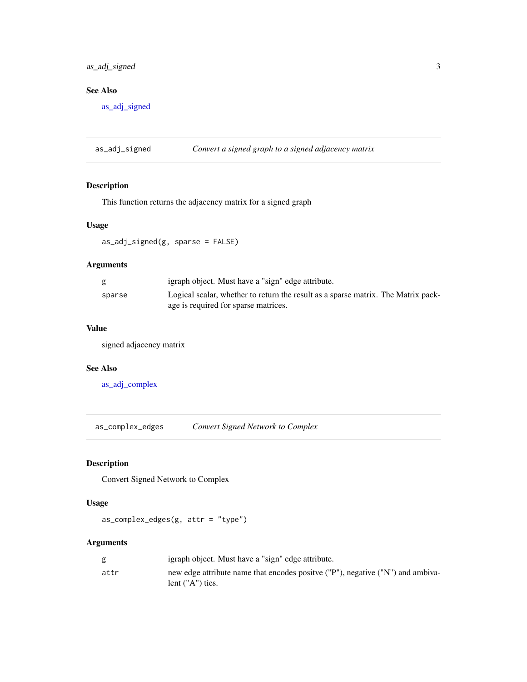# <span id="page-2-0"></span>as\_adj\_signed 3

# See Also

[as\\_adj\\_signed](#page-2-1)

<span id="page-2-1"></span>as\_adj\_signed *Convert a signed graph to a signed adjacency matrix*

# Description

This function returns the adjacency matrix for a signed graph

# Usage

as\_adj\_signed(g, sparse = FALSE)

# Arguments

| g      | igraph object. Must have a "sign" edge attribute.                                                                         |
|--------|---------------------------------------------------------------------------------------------------------------------------|
| sparse | Logical scalar, whether to return the result as a sparse matrix. The Matrix pack-<br>age is required for sparse matrices. |

# Value

signed adjacency matrix

#### See Also

[as\\_adj\\_complex](#page-1-1)

as\_complex\_edges *Convert Signed Network to Complex*

# Description

Convert Signed Network to Complex

#### Usage

as\_complex\_edges(g, attr = "type")

# Arguments

|      | igraph object. Must have a "sign" edge attribute.                               |
|------|---------------------------------------------------------------------------------|
| attr | new edge attribute name that encodes positive ("P"), negative ("N") and ambiva- |
|      | lent $("A")$ ties.                                                              |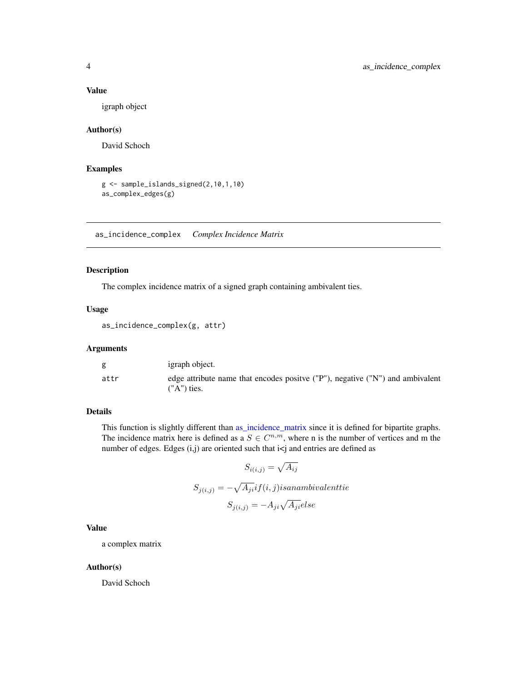#### <span id="page-3-0"></span>Value

igraph object

#### Author(s)

David Schoch

#### Examples

```
g <- sample_islands_signed(2,10,1,10)
as_complex_edges(g)
```
as\_incidence\_complex *Complex Incidence Matrix*

#### Description

The complex incidence matrix of a signed graph containing ambivalent ties.

#### Usage

as\_incidence\_complex(g, attr)

# Arguments

| g    | igraph object.                                                                                   |
|------|--------------------------------------------------------------------------------------------------|
| attr | edge attribute name that encodes positive ("P"), negative ("N") and ambivalent<br>$(''A")$ ties. |

#### Details

This function is slightly different than [as\\_incidence\\_matrix](#page-0-0) since it is defined for bipartite graphs. The incidence matrix here is defined as a  $S \in \mathbb{C}^{n,m}$ , where n is the number of vertices and m the number of edges. Edges  $(i,j)$  are oriented such that  $i < j$  and entries are defined as

$$
S_{i(i,j)} = \sqrt{A_{ij}}
$$
  

$$
S_{j(i,j)} = -\sqrt{A_{ji}} if(i,j) is an ambivalent tie
$$
  

$$
S_{j(i,j)} = -A_{ji}\sqrt{A_{ji}} else
$$

# Value

a complex matrix

#### Author(s)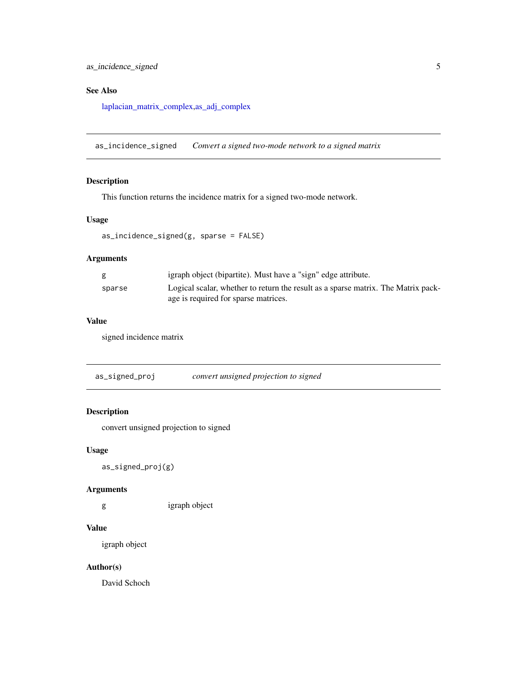# <span id="page-4-0"></span>See Also

[laplacian\\_matrix\\_complex](#page-15-1)[,as\\_adj\\_complex](#page-1-1)

as\_incidence\_signed *Convert a signed two-mode network to a signed matrix*

# Description

This function returns the incidence matrix for a signed two-mode network.

#### Usage

```
as_incidence_signed(g, sparse = FALSE)
```
#### Arguments

| g      | igraph object (bipartite). Must have a "sign" edge attribute.                     |
|--------|-----------------------------------------------------------------------------------|
| sparse | Logical scalar, whether to return the result as a sparse matrix. The Matrix pack- |
|        | age is required for sparse matrices.                                              |

#### Value

signed incidence matrix

<span id="page-4-1"></span>as\_signed\_proj *convert unsigned projection to signed*

# Description

convert unsigned projection to signed

#### Usage

as\_signed\_proj(g)

#### Arguments

g igraph object

#### Value

igraph object

#### Author(s)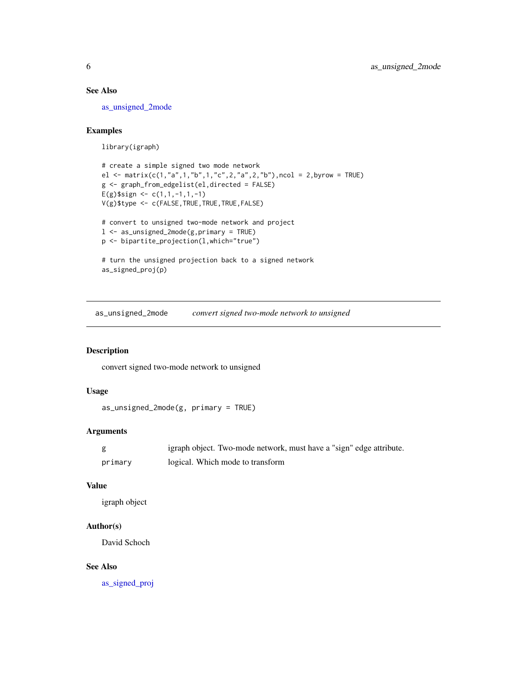#### <span id="page-5-0"></span>See Also

[as\\_unsigned\\_2mode](#page-5-1)

### Examples

library(igraph)

```
# create a simple signed two mode network
el <- matrix(c(1,"a",1,"b",1,"c",2,"a",2,"b"),ncol = 2,byrow = TRUE)
g <- graph_from_edgelist(el,directed = FALSE)
E(g)$sign <- c(1,1,-1,1,-1)
V(g)$type <- c(FALSE,TRUE,TRUE,TRUE,FALSE)
```

```
# convert to unsigned two-mode network and project
l <- as_unsigned_2mode(g,primary = TRUE)
p <- bipartite_projection(l,which="true")
```

```
# turn the unsigned projection back to a signed network
as_signed_proj(p)
```
<span id="page-5-1"></span>as\_unsigned\_2mode *convert signed two-mode network to unsigned*

# Description

convert signed two-mode network to unsigned

#### Usage

```
as_unsigned_2mode(g, primary = TRUE)
```
# Arguments

|         | igraph object. Two-mode network, must have a "sign" edge attribute. |
|---------|---------------------------------------------------------------------|
| primary | logical. Which mode to transform                                    |

#### Value

igraph object

## Author(s)

David Schoch

# See Also

[as\\_signed\\_proj](#page-4-1)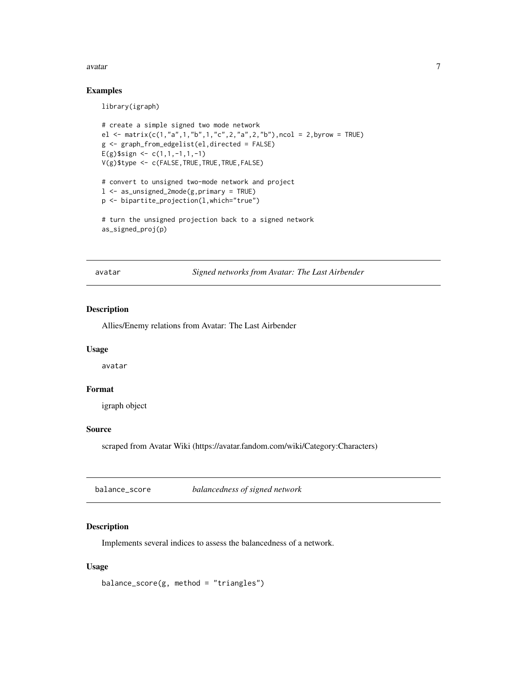#### <span id="page-6-0"></span>avatar 7 metatra 1999 - 1999 - 1999 - 1999 - 1999 - 1999 - 1999 - 1999 - 1999 - 1999 - 1999 - 1999 - 1999 - 1

#### Examples

library(igraph)

```
# create a simple signed two mode network
el <- matrix(c(1,"a",1,"b",1,"c",2,"a",2,"b"),ncol = 2,byrow = TRUE)
g <- graph_from_edgelist(el,directed = FALSE)
E(g)$sign <- c(1,1,-1,1,-1)
V(g)$type <- c(FALSE,TRUE,TRUE,TRUE,FALSE)
# convert to unsigned two-mode network and project
l <- as_unsigned_2mode(g,primary = TRUE)
p <- bipartite_projection(l,which="true")
```

```
# turn the unsigned projection back to a signed network
as_signed_proj(p)
```
avatar *Signed networks from Avatar: The Last Airbender*

#### Description

Allies/Enemy relations from Avatar: The Last Airbender

#### Usage

avatar

#### Format

igraph object

#### Source

scraped from Avatar Wiki (https://avatar.fandom.com/wiki/Category:Characters)

balance\_score *balancedness of signed network*

#### Description

Implements several indices to assess the balancedness of a network.

#### Usage

balance\_score(g, method = "triangles")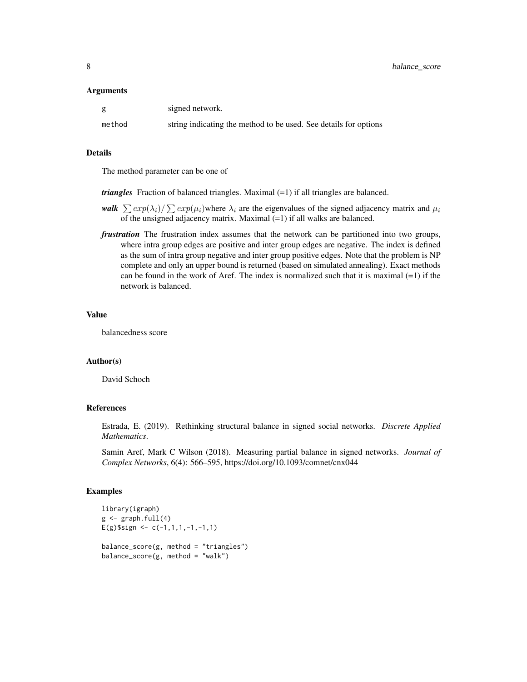|        | signed network.                                                  |
|--------|------------------------------------------------------------------|
| method | string indicating the method to be used. See details for options |

#### Details

The method parameter can be one of

*triangles* Fraction of balanced triangles. Maximal (=1) if all triangles are balanced.

- *walk*  $\sum exp(\lambda_i)/\sum exp(\mu_i)$  where  $\lambda_i$  are the eigenvalues of the signed adjacency matrix and  $\mu_i$ of the unsigned adjacency matrix. Maximal (=1) if all walks are balanced.
- *frustration* The frustration index assumes that the network can be partitioned into two groups, where intra group edges are positive and inter group edges are negative. The index is defined as the sum of intra group negative and inter group positive edges. Note that the problem is NP complete and only an upper bound is returned (based on simulated annealing). Exact methods can be found in the work of Aref. The index is normalized such that it is maximal  $(=1)$  if the network is balanced.

#### Value

balancedness score

#### Author(s)

David Schoch

### References

Estrada, E. (2019). Rethinking structural balance in signed social networks. *Discrete Applied Mathematics*.

Samin Aref, Mark C Wilson (2018). Measuring partial balance in signed networks. *Journal of Complex Networks*, 6(4): 566–595, https://doi.org/10.1093/comnet/cnx044

```
library(igraph)
g \leftarrow \text{graph}.full(4)E(g)$sign <- c(-1,1,1,-1,-1,1)balance_score(g, method = "triangles")
balance_score(g, method = "walk")
```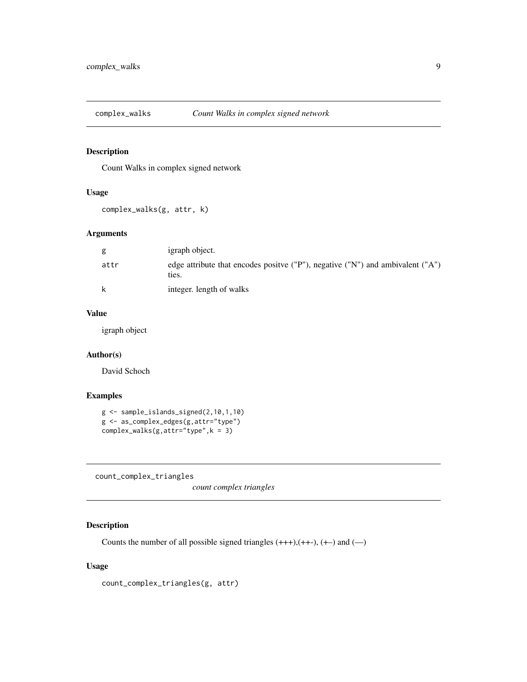<span id="page-8-0"></span>

# Description

Count Walks in complex signed network

#### Usage

complex\_walks(g, attr, k)

#### Arguments

| g    | igraph object.                                                                           |
|------|------------------------------------------------------------------------------------------|
| attr | edge attribute that encodes positive ("P"), negative ("N") and ambivalent ("A")<br>ties. |
| k    | integer. length of walks                                                                 |

# Value

igraph object

### Author(s)

David Schoch

#### Examples

```
g <- sample_islands_signed(2,10,1,10)
g <- as_complex_edges(g,attr="type")
complex_walks(g,attr="type",k = 3)
```
count\_complex\_triangles

*count complex triangles*

# Description

Counts the number of all possible signed triangles  $(+++)$ ,  $(++)$ ,  $(+)$  and  $(-)$ 

#### Usage

count\_complex\_triangles(g, attr)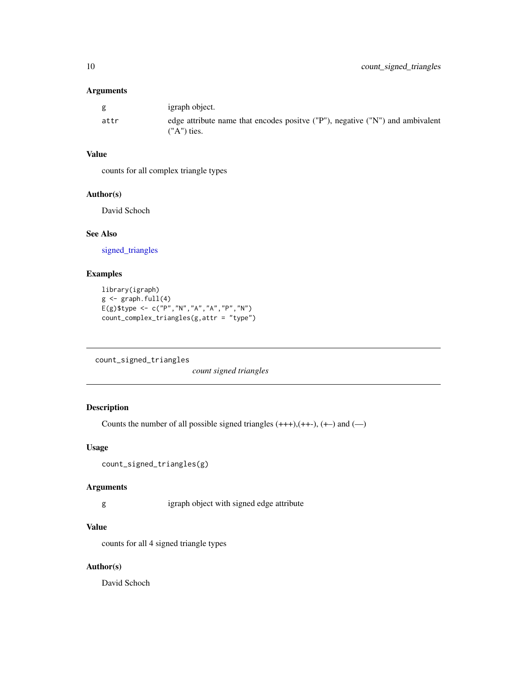<span id="page-9-0"></span>

| g    | igraph object.                                                                                          |
|------|---------------------------------------------------------------------------------------------------------|
| attr | edge attribute name that encodes positive $('P'')$ , negative $('N'')$ and ambivalent<br>$(''A")$ ties. |

# Value

counts for all complex triangle types

# Author(s)

David Schoch

#### See Also

[signed\\_triangles](#page-21-1)

# Examples

```
library(igraph)
g \leftarrow \text{graph.full}(4)E(g)$type <- c("P","N","A","A","P","N")
count_complex_triangles(g,attr = "type")
```
<span id="page-9-1"></span>count\_signed\_triangles

*count signed triangles*

# Description

Counts the number of all possible signed triangles  $(+++)$ ,  $(++)$ ,  $(+-)$  and  $(-)$ 

#### Usage

```
count_signed_triangles(g)
```
# Arguments

g igraph object with signed edge attribute

#### Value

counts for all 4 signed triangle types

# Author(s)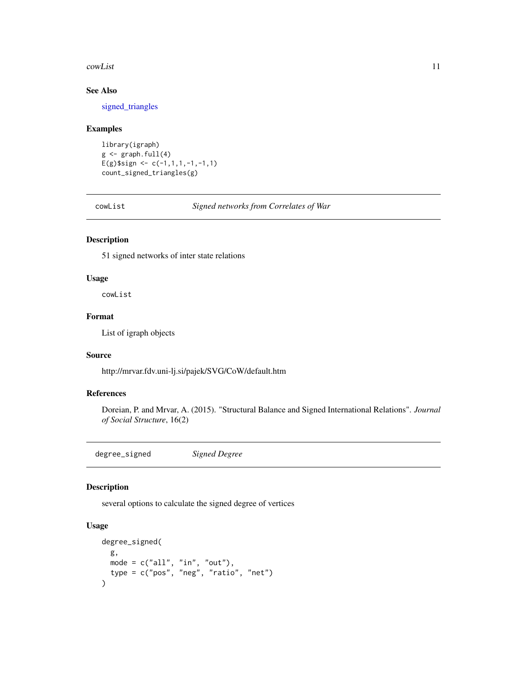#### <span id="page-10-0"></span>cowList 11

# See Also

[signed\\_triangles](#page-21-1)

#### Examples

```
library(igraph)
g \leftarrow \text{graph}.full(4)E(g)$sign <- c(-1,1,1,-1,-1,1)count_signed_triangles(g)
```
cowList *Signed networks from Correlates of War*

# Description

51 signed networks of inter state relations

#### Usage

cowList

#### Format

List of igraph objects

#### Source

http://mrvar.fdv.uni-lj.si/pajek/SVG/CoW/default.htm

# References

Doreian, P. and Mrvar, A. (2015). "Structural Balance and Signed International Relations". *Journal of Social Structure*, 16(2)

degree\_signed *Signed Degree*

# Description

several options to calculate the signed degree of vertices

# Usage

```
degree_signed(
  g,
  mode = c("all", "in", "out"),type = c("pos", "neg", "ratio", "net")
\mathcal{E}
```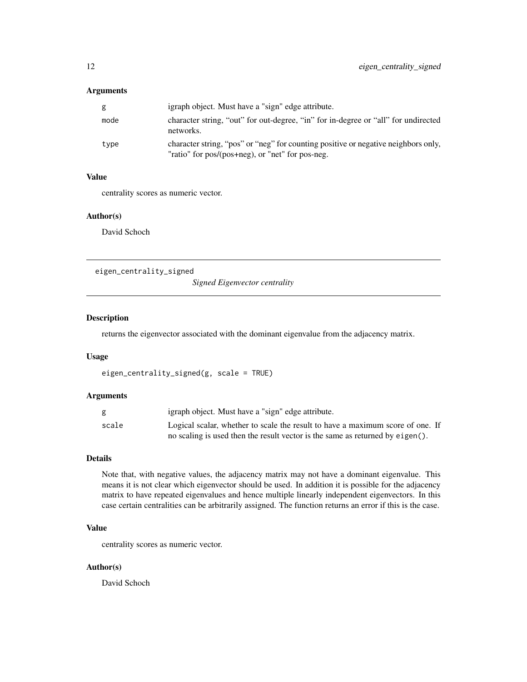<span id="page-11-0"></span>

| g    | igraph object. Must have a "sign" edge attribute.                                                                                      |
|------|----------------------------------------------------------------------------------------------------------------------------------------|
| mode | character string, "out" for out-degree, "in" for in-degree or "all" for undirected<br>networks.                                        |
| type | character string, "pos" or "neg" for counting positive or negative neighbors only,<br>"ratio" for pos/(pos+neg), or "net" for pos-neg. |

#### Value

centrality scores as numeric vector.

#### Author(s)

David Schoch

eigen\_centrality\_signed

*Signed Eigenvector centrality*

#### Description

returns the eigenvector associated with the dominant eigenvalue from the adjacency matrix.

#### Usage

```
eigen_centrality_signed(g, scale = TRUE)
```
#### Arguments

|       | igraph object. Must have a "sign" edge attribute.                              |
|-------|--------------------------------------------------------------------------------|
| scale | Logical scalar, whether to scale the result to have a maximum score of one. If |
|       | no scaling is used then the result vector is the same as returned by eigen().  |

#### Details

Note that, with negative values, the adjacency matrix may not have a dominant eigenvalue. This means it is not clear which eigenvector should be used. In addition it is possible for the adjacency matrix to have repeated eigenvalues and hence multiple linearly independent eigenvectors. In this case certain centralities can be arbitrarily assigned. The function returns an error if this is the case.

# Value

centrality scores as numeric vector.

#### Author(s)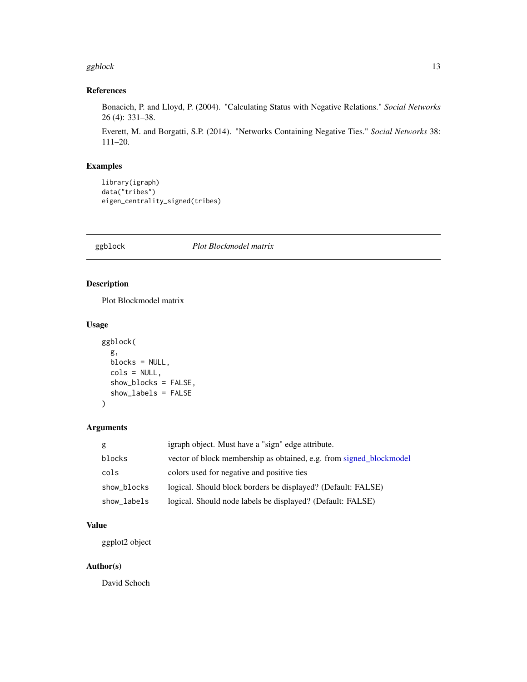#### <span id="page-12-0"></span>ggblock and the state of the state of the state of the state of the state of the state of the state of the state of the state of the state of the state of the state of the state of the state of the state of the state of th

# References

Bonacich, P. and Lloyd, P. (2004). "Calculating Status with Negative Relations." *Social Networks* 26 (4): 331–38.

Everett, M. and Borgatti, S.P. (2014). "Networks Containing Negative Ties." *Social Networks* 38: 111–20.

# Examples

```
library(igraph)
data("tribes")
eigen_centrality_signed(tribes)
```
ggblock *Plot Blockmodel matrix*

# Description

Plot Blockmodel matrix

#### Usage

```
ggblock(
 g,
 blocks = NULL,
 cols = NULL,
  show_blocks = FALSE,
  show_labels = FALSE
)
```
#### Arguments

| g           | igraph object. Must have a "sign" edge attribute.                   |
|-------------|---------------------------------------------------------------------|
| blocks      | vector of block membership as obtained, e.g. from signed_blockmodel |
| cols        | colors used for negative and positive ties                          |
| show_blocks | logical. Should block borders be displayed? (Default: FALSE)        |
| show_labels | logical. Should node labels be displayed? (Default: FALSE)          |

# Value

ggplot2 object

#### Author(s)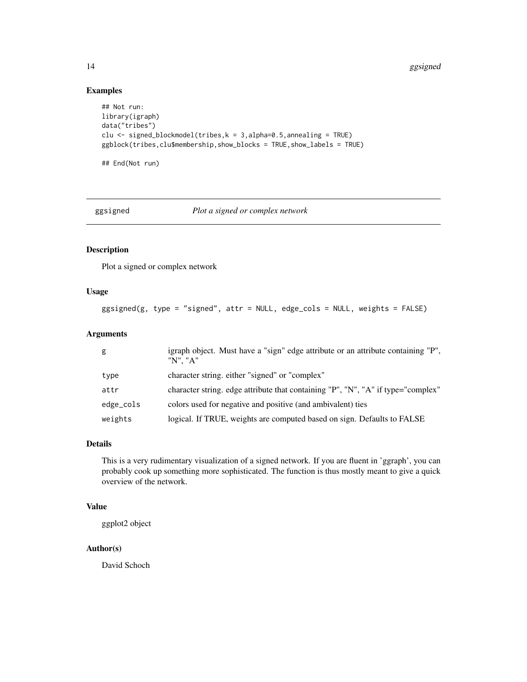14 ggsigned

# Examples

```
## Not run:
library(igraph)
data("tribes")
clu <- signed_blockmodel(tribes,k = 3,alpha=0.5,annealing = TRUE)
ggblock(tribes,clu$membership,show_blocks = TRUE,show_labels = TRUE)
## End(Not run)
```
ggsigned *Plot a signed or complex network*

#### Description

Plot a signed or complex network

#### Usage

```
ggsigned(g, type = "signed", attr = NULL, edge_cols = NULL, weights = FALSE)
```
# Arguments

| g         | igraph object. Must have a "sign" edge attribute or an attribute containing "P",<br>"N". "A" |
|-----------|----------------------------------------------------------------------------------------------|
| type      | character string. either "signed" or "complex"                                               |
| attr      | character string. edge attribute that containing "P", "N", "A" if type="complex"             |
| edge_cols | colors used for negative and positive (and ambivalent) ties                                  |
| weights   | logical. If TRUE, weights are computed based on sign. Defaults to FALSE                      |

#### Details

This is a very rudimentary visualization of a signed network. If you are fluent in 'ggraph', you can probably cook up something more sophisticated. The function is thus mostly meant to give a quick overview of the network.

# Value

ggplot2 object

#### Author(s)

<span id="page-13-0"></span>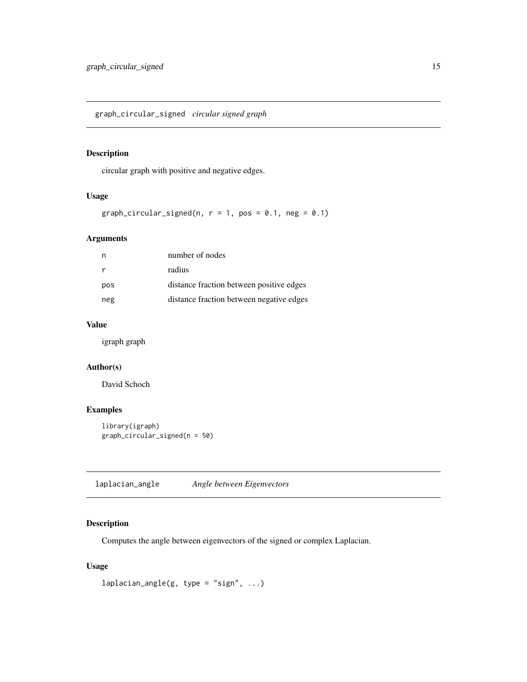<span id="page-14-0"></span>graph\_circular\_signed *circular signed graph*

# Description

circular graph with positive and negative edges.

## Usage

```
graph_circular_signed(n, r = 1, pos = 0.1, neg = 0.1)
```
#### Arguments

| n   | number of nodes                          |
|-----|------------------------------------------|
| r   | radius                                   |
| pos | distance fraction between positive edges |
| neg | distance fraction between negative edges |

#### Value

igraph graph

# Author(s)

David Schoch

# Examples

```
library(igraph)
graph_circular_signed(n = 50)
```
laplacian\_angle *Angle between Eigenvectors*

# Description

Computes the angle between eigenvectors of the signed or complex Laplacian.

# Usage

```
laplacian\_angle(g, type = "sign", ...)
```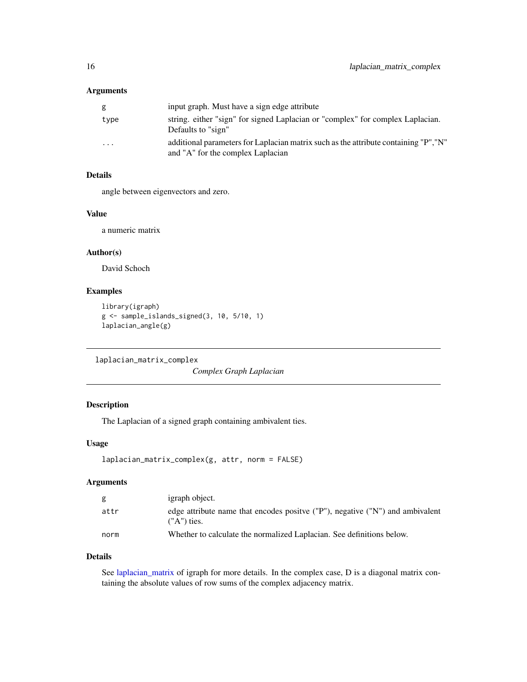<span id="page-15-0"></span>

| g        | input graph. Must have a sign edge attribute                                                                              |
|----------|---------------------------------------------------------------------------------------------------------------------------|
| type     | string. either "sign" for signed Laplacian or "complex" for complex Laplacian.<br>Defaults to "sign"                      |
| $\cdots$ | additional parameters for Laplacian matrix such as the attribute containing "P", "N"<br>and "A" for the complex Laplacian |

# Details

angle between eigenvectors and zero.

#### Value

a numeric matrix

# Author(s)

David Schoch

# Examples

```
library(igraph)
g <- sample_islands_signed(3, 10, 5/10, 1)
laplacian_angle(g)
```
<span id="page-15-1"></span>laplacian\_matrix\_complex

*Complex Graph Laplacian*

# Description

The Laplacian of a signed graph containing ambivalent ties.

#### Usage

```
laplacian_matrix_complex(g, attr, norm = FALSE)
```
# Arguments

| g    | igraph object.                                                                                          |
|------|---------------------------------------------------------------------------------------------------------|
| attr | edge attribute name that encodes positive $('P'')$ , negative $('N'')$ and ambivalent<br>$(''A")$ ties. |
| norm | Whether to calculate the normalized Laplacian. See definitions below.                                   |

#### Details

See [laplacian\\_matrix](#page-0-0) of igraph for more details. In the complex case, D is a diagonal matrix containing the absolute values of row sums of the complex adjacency matrix.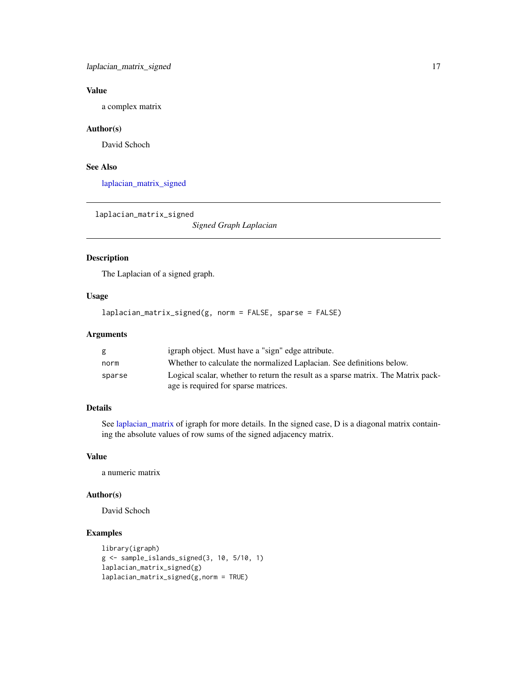# <span id="page-16-0"></span>Value

a complex matrix

#### Author(s)

David Schoch

#### See Also

[laplacian\\_matrix\\_signed](#page-16-1)

<span id="page-16-1"></span>laplacian\_matrix\_signed

*Signed Graph Laplacian*

# Description

The Laplacian of a signed graph.

#### Usage

laplacian\_matrix\_signed(g, norm = FALSE, sparse = FALSE)

# Arguments

| g      | igraph object. Must have a "sign" edge attribute.                                 |
|--------|-----------------------------------------------------------------------------------|
| norm   | Whether to calculate the normalized Laplacian. See definitions below.             |
| sparse | Logical scalar, whether to return the result as a sparse matrix. The Matrix pack- |
|        | age is required for sparse matrices.                                              |

# Details

See [laplacian\\_matrix](#page-0-0) of igraph for more details. In the signed case, D is a diagonal matrix containing the absolute values of row sums of the signed adjacency matrix.

#### Value

a numeric matrix

#### Author(s)

David Schoch

```
library(igraph)
g <- sample_islands_signed(3, 10, 5/10, 1)
laplacian_matrix_signed(g)
laplacian_matrix_signed(g,norm = TRUE)
```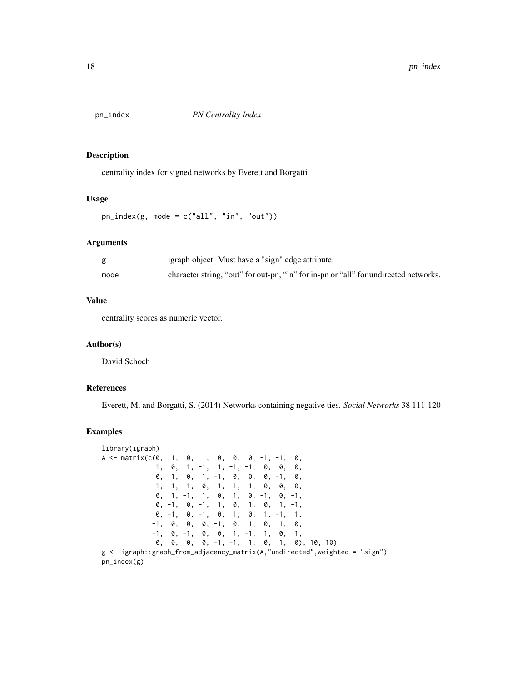<span id="page-17-0"></span>

# Description

centrality index for signed networks by Everett and Borgatti

#### Usage

 $pn_index(g, mode = c("all", "in", "out"))$ 

#### Arguments

|      | igraph object. Must have a "sign" edge attribute.                                    |
|------|--------------------------------------------------------------------------------------|
| mode | character string, "out" for out-pn, "in" for in-pn or "all" for undirected networks. |

#### Value

centrality scores as numeric vector.

#### Author(s)

David Schoch

## References

Everett, M. and Borgatti, S. (2014) Networks containing negative ties. *Social Networks* 38 111-120

```
library(igraph)
A \leq - matrix(c(0, 1, 0, 1, 0, 0, 0, -1, -1, 0,
            1, 0, 1, -1, 1, -1, -1, 0, 0, 0,
            0, 1, 0, 1, -1, 0, 0, 0, -1, 0,
            1, -1, 1, 0, 1, -1, -1, 0, 0, 0,0, 1, -1, 1, 0, 1, 0, -1, 0, -1,
            0, -1, 0, -1, 1, 0, 1, 0, 1, -1,
            0, -1, 0, -1, 0, 1, 0, 1, -1, 1,
           -1, 0, 0, 0, -1, 0, 1, 0, 1, 0,
           -1, 0, -1, 0, 0, 1, -1, 1, 0, 1,
            0, 0, 0, 0, -1, -1, 1, 0, 1, 0), 10, 10)
g <- igraph::graph_from_adjacency_matrix(A,"undirected",weighted = "sign")
pn_index(g)
```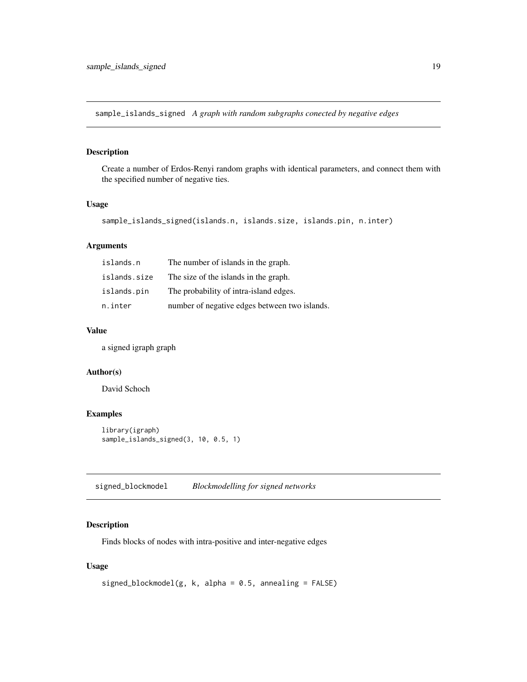<span id="page-18-0"></span>sample\_islands\_signed *A graph with random subgraphs conected by negative edges*

# Description

Create a number of Erdos-Renyi random graphs with identical parameters, and connect them with the specified number of negative ties.

#### Usage

```
sample_islands_signed(islands.n, islands.size, islands.pin, n.inter)
```
# Arguments

| islands.n    | The number of islands in the graph.           |
|--------------|-----------------------------------------------|
| islands.size | The size of the islands in the graph.         |
| islands.pin  | The probability of intra-island edges.        |
| n.inter      | number of negative edges between two islands. |

#### Value

a signed igraph graph

#### Author(s)

David Schoch

#### Examples

```
library(igraph)
sample_islands_signed(3, 10, 0.5, 1)
```
<span id="page-18-1"></span>signed\_blockmodel *Blockmodelling for signed networks*

# Description

Finds blocks of nodes with intra-positive and inter-negative edges

#### Usage

```
signed_blockmodel(g, k, alpha = 0.5, annealing = FALSE)
```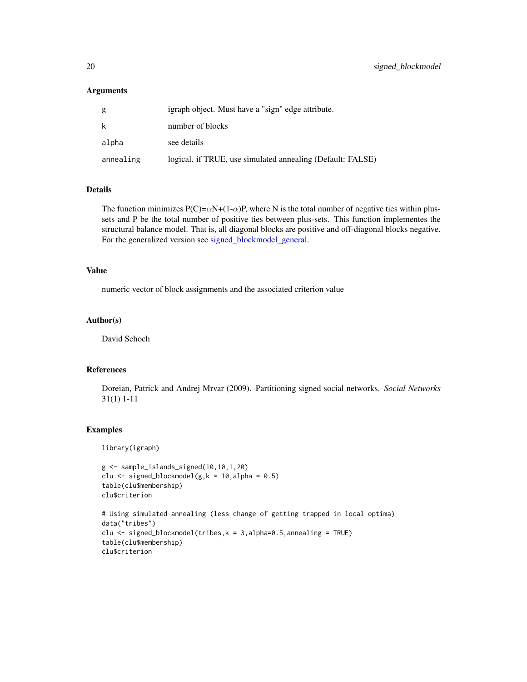<span id="page-19-0"></span>

| g         | igraph object. Must have a "sign" edge attribute.          |
|-----------|------------------------------------------------------------|
| k         | number of blocks                                           |
| alpha     | see details                                                |
| annealing | logical. if TRUE, use simulated annealing (Default: FALSE) |

# Details

The function minimizes  $P(C) = \alpha N + (1 - \alpha)P$ , where N is the total number of negative ties within plussets and P be the total number of positive ties between plus-sets. This function implementes the structural balance model. That is, all diagonal blocks are positive and off-diagonal blocks negative. For the generalized version see [signed\\_blockmodel\\_general.](#page-20-1)

#### Value

numeric vector of block assignments and the associated criterion value

#### Author(s)

David Schoch

#### References

Doreian, Patrick and Andrej Mrvar (2009). Partitioning signed social networks. *Social Networks* 31(1) 1-11

#### Examples

library(igraph)

```
g <- sample_islands_signed(10,10,1,20)
clu \le signed_blockmodel(g, k = 10, alpha = 0.5)
table(clu$membership)
clu$criterion
# Using simulated annealing (less change of getting trapped in local optima)
data("tribes")
```

```
clu \le signed_blockmodel(tribes, k = 3, alpha=0.5, annealing = TRUE)
table(clu$membership)
```

```
clu$criterion
```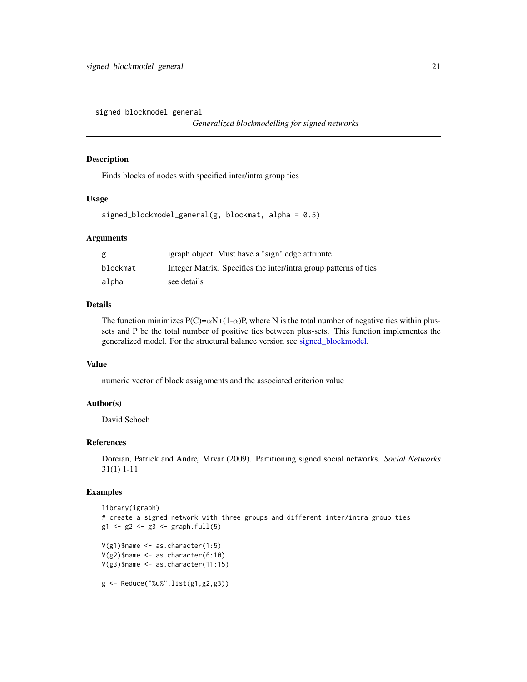<span id="page-20-1"></span><span id="page-20-0"></span>signed\_blockmodel\_general

*Generalized blockmodelling for signed networks*

#### Description

Finds blocks of nodes with specified inter/intra group ties

#### Usage

signed\_blockmodel\_general(g, blockmat, alpha =  $0.5$ )

#### Arguments

| g        | igraph object. Must have a "sign" edge attribute.                |
|----------|------------------------------------------------------------------|
| blockmat | Integer Matrix. Specifies the inter/intra group patterns of ties |
| alpha    | see details                                                      |

#### Details

The function minimizes  $P(C) = \alpha N + (1 - \alpha)P$ , where N is the total number of negative ties within plussets and P be the total number of positive ties between plus-sets. This function implementes the generalized model. For the structural balance version see [signed\\_blockmodel.](#page-18-1)

#### Value

numeric vector of block assignments and the associated criterion value

# Author(s)

David Schoch

#### References

Doreian, Patrick and Andrej Mrvar (2009). Partitioning signed social networks. *Social Networks* 31(1) 1-11

```
library(igraph)
# create a signed network with three groups and different inter/intra group ties
g1 \leftarrow g2 \leftarrow g3 \leftarrow graph . full(5)V(g1)$name <- as.character(1:5)
V(g2)$name <- as.character(6:10)
V(g3)$name <- as.character(11:15)
g <- Reduce("%u%",list(g1,g2,g3))
```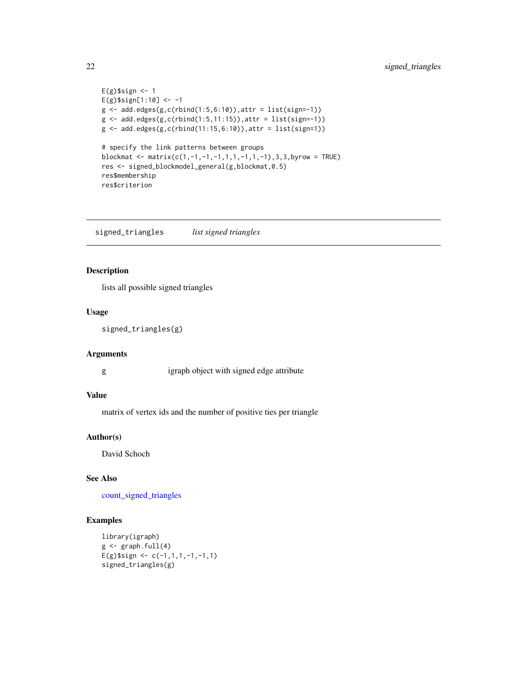```
E(g)$sign <- 1
E(g)$sign[1:10] <- -1
g \leftarrow add.deg(g,c(rbind(1:5,6:10)),attr = list(sign=-1))g \leftarrow add.deg(g,c(rbind(1:5,11:15)),attr = list(sign=1))g \leftarrow add.deg(g,c(rbind(11:15,6:10)),attr = list(sign=1))# specify the link patterns between groups
blockmat <- matrix(c(1,-1,-1,-1,1,1,-1,1,-1),3,3,byrow = TRUE)
res <- signed_blockmodel_general(g,blockmat,0.5)
res$membership
res$criterion
```
<span id="page-21-1"></span>signed\_triangles *list signed triangles*

## Description

lists all possible signed triangles

#### Usage

signed\_triangles(g)

#### Arguments

g igraph object with signed edge attribute

#### Value

matrix of vertex ids and the number of positive ties per triangle

#### Author(s)

David Schoch

# See Also

[count\\_signed\\_triangles](#page-9-1)

```
library(igraph)
g \leftarrow \text{graph.full}(4)E(g)$sign <- c(-1,1,1,-1,-1,1)
signed_triangles(g)
```
<span id="page-21-0"></span>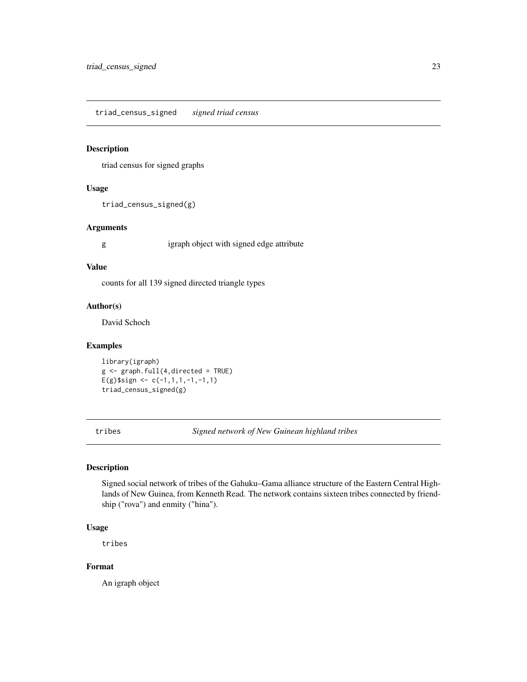<span id="page-22-0"></span>triad\_census\_signed *signed triad census*

# Description

triad census for signed graphs

#### Usage

```
triad_census_signed(g)
```
#### Arguments

g igraph object with signed edge attribute

#### Value

counts for all 139 signed directed triangle types

#### Author(s)

David Schoch

#### Examples

library(igraph)  $g \leftarrow graph.full(4,directed = TRUE)$ E(g)\$sign <-  $c(-1,1,1,-1,-1,1)$ triad\_census\_signed(g)

tribes *Signed network of New Guinean highland tribes*

#### Description

Signed social network of tribes of the Gahuku–Gama alliance structure of the Eastern Central Highlands of New Guinea, from Kenneth Read. The network contains sixteen tribes connected by friendship ("rova") and enmity ("hina").

#### Usage

tribes

# Format

An igraph object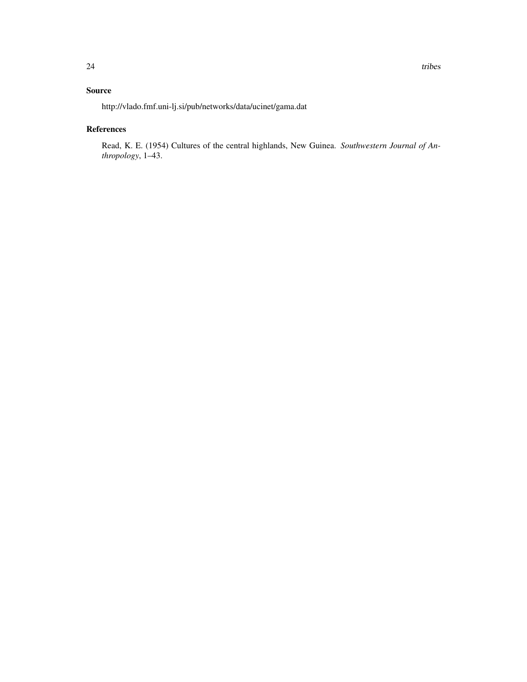# Source

http://vlado.fmf.uni-lj.si/pub/networks/data/ucinet/gama.dat

#### References

Read, K. E. (1954) Cultures of the central highlands, New Guinea. *Southwestern Journal of Anthropology*, 1–43.